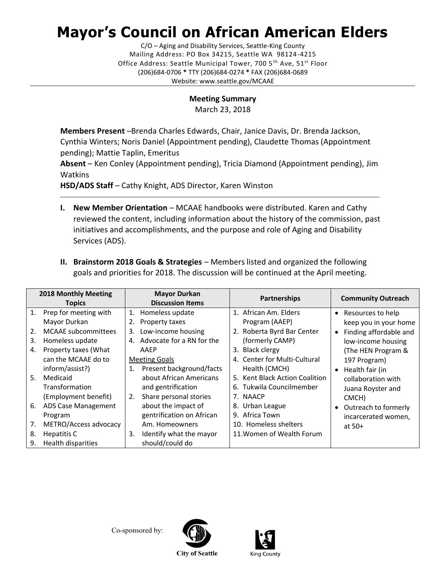## **Mayor's Council on African American Elders**

C/O – Aging and Disability Services, Seattle-King County Mailing Address: PO Box 34215, Seattle WA 98124-4215 Office Address: Seattle Municipal Tower, 700 5<sup>th</sup> Ave, 51<sup>st</sup> Floor (206)684-0706 **\*** TTY (206)684-0274 **\*** FAX (206)684-0689 Website: www.seattle.gov/MCAAE

## **Meeting Summary**

March 23, 2018

**Members Present** –Brenda Charles Edwards, Chair, Janice Davis, Dr. Brenda Jackson, Cynthia Winters; Noris Daniel (Appointment pending), Claudette Thomas (Appointment pending); Mattie Taplin, Emeritus

**Absent** – Ken Conley (Appointment pending), Tricia Diamond (Appointment pending), Jim Watkins

\_\_\_\_\_\_\_\_\_\_\_\_\_\_\_\_\_\_\_\_\_\_\_\_\_\_\_\_\_\_\_\_\_\_\_\_\_\_\_\_\_\_\_\_\_\_\_\_\_\_\_\_\_\_\_\_\_\_\_\_\_\_\_\_\_\_\_\_\_\_\_\_\_\_\_\_\_\_\_\_\_\_\_\_\_\_\_\_\_\_\_\_\_\_\_\_\_\_\_\_\_\_\_\_\_\_\_\_\_\_

**HSD/ADS Staff** – Cathy Knight, ADS Director, Karen Winston

- **I. New Member Orientation** MCAAE handbooks were distributed. Karen and Cathy reviewed the content, including information about the history of the commission, past initiatives and accomplishments, and the purpose and role of Aging and Disability Services (ADS).
- **II. Brainstorm 2018 Goals & Strategies** Members listed and organized the following goals and priorities for 2018. The discussion will be continued at the April meeting.

| 2018 Monthly Meeting<br><b>Topics</b> |                                                                                                                                            | <b>Mayor Durkan</b><br><b>Discussion Items</b> |                                                                                                                                                                           | Partnerships |                                                                                                                                                       | <b>Community Outreach</b> |                                                                                                                                      |
|---------------------------------------|--------------------------------------------------------------------------------------------------------------------------------------------|------------------------------------------------|---------------------------------------------------------------------------------------------------------------------------------------------------------------------------|--------------|-------------------------------------------------------------------------------------------------------------------------------------------------------|---------------------------|--------------------------------------------------------------------------------------------------------------------------------------|
| 1.<br>2.<br>3.<br>4.                  | Prep for meeting with<br>Mayor Durkan<br><b>MCAAE</b> subcommittees<br>Homeless update<br>Property taxes (What<br>can the MCAAE do to      | 1.<br>2.<br>3.                                 | Homeless update<br>Property taxes<br>Low-income housing<br>4. Advocate for a RN for the<br>AAEP<br><b>Meeting Goals</b>                                                   |              | 1. African Am. Elders<br>Program (AAEP)<br>2. Roberta Byrd Bar Center<br>(formerly CAMP)<br>3. Black clergy<br>4. Center for Multi-Cultural           |                           | • Resources to help<br>keep you in your home<br>• Finding affordable and<br>low-income housing<br>(The HEN Program &<br>197 Program) |
| 6.<br>7.                              | inform/assist?)<br>5. Medicaid<br>Transformation<br>(Employment benefit)<br><b>ADS Case Management</b><br>Program<br>METRO/Access advocacy | 1.<br>2.                                       | Present background/facts<br>about African Americans<br>and gentrification<br>Share personal stories<br>about the impact of<br>gentrification on African<br>Am. Homeowners |              | Health (CMCH)<br>5. Kent Black Action Coalition<br>6. Tukwila Councilmember<br>7. NAACP<br>8. Urban League<br>9. Africa Town<br>10. Homeless shelters | $\bullet$                 | Health fair (in<br>collaboration with<br>Juana Royster and<br>CMCH)<br>• Outreach to formerly<br>incarcerated women,                 |
| 8.<br>9.                              | Hepatitis C<br>Health disparities                                                                                                          | 3.                                             | Identify what the mayor<br>should/could do                                                                                                                                |              | 11. Women of Wealth Forum                                                                                                                             |                           | at $50+$                                                                                                                             |